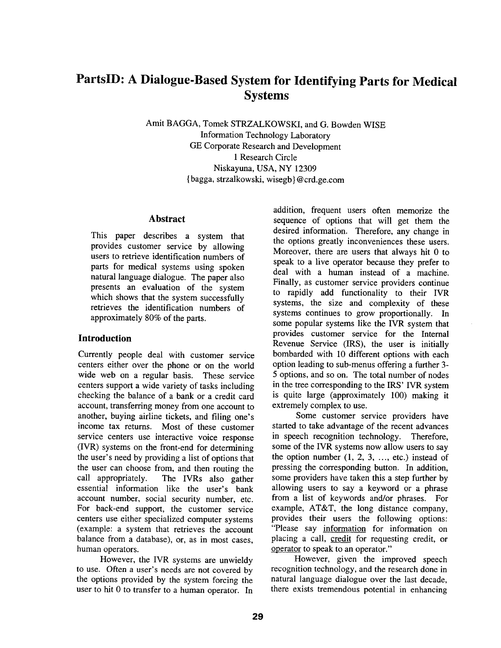# **PartslD: A Dialogue-Based System for Identifying Parts for Medical Systems**

Amit BAGGA, Tomek STRZALKOWSKI, and G. Bowden WISE Information Technology Laboratory GE Corporate Research and Development 1 Research Circle Niskayuna, USA, NY 12309 { bagga, strzalkowski, wisegb } @crd.ge.com

### **Abstract**

This paper describes a system that provides customer service by allowing users to retrieve identification numbers of parts for medical systems using spoken natural language dialogue. The paper also presents an evaluation of the system which shows that the system successfully retrieves the identification numbers of approximately 80% of the parts.

### **Introduction**

Currently people deal with customer service centers either over the phone or on the world wide web on a regular basis. These service centers support a wide variety of tasks including checking the balance of a bank or a credit card account, transferring money from one account to another, buying airline tickets, and filing one's income tax returns. Most of these customer service centers use interactive voice response (IVR) systems on the front-end for determining the user's need by providing a list of options that the user can choose from, and then routing the call appropriately. The IVRs also gather essential information like the user's bank account number, social security number, etc. For back-end support, the customer service centers use either specialized computer systems (example: a system that retrieves the account balance from a database), or, as in most cases, human operators.

However, the IVR systems are unwieldy to use. Often a user's needs are not covered by the options provided by the system forcing the user to hit 0 to transfer to a human operator. In

addition, frequent users often memorize the sequence of options that will get them the desired information. Therefore, any change in the options greatly inconveniences these users. Moreover, there are users that always hit 0 to speak to a live operator because they prefer to deal with a human instead of a machine. Finally, as customer service providers continue to rapidly add functionality to their IVR systems, the size and complexity of these systems continues to grow proportionally. In some popular systems like the IVR system that provides customer service for the Internal Revenue Service (IRS), the user is initially bombarded with 10 different options with each option leading to sub-menus offering a further 3- 5 options, and so on. The total number of nodes in the tree corresponding to the IRS' IVR system is quite large (approximately 100) making it extremely complex to use.

Some customer service providers have started to take advantage of the recent advances in speech recognition technology. Therefore, some of the IVR systems now allow users to say the option number  $(1, 2, 3, \ldots,$  etc.) instead of pressing the corresponding button. In addition, some providers have taken this a step further by allowing users to say a keyword or a phrase from a list of keywords and/or phrases. For example, AT&T, the long distance company, provides their users the following options: "Please say information for information on placing a call, credit for requesting credit, or operator to speak to an operator."

However, given the improved speech recognition technology, and the research done in natural language dialogue over the last decade, there exists tremendous potential in enhancing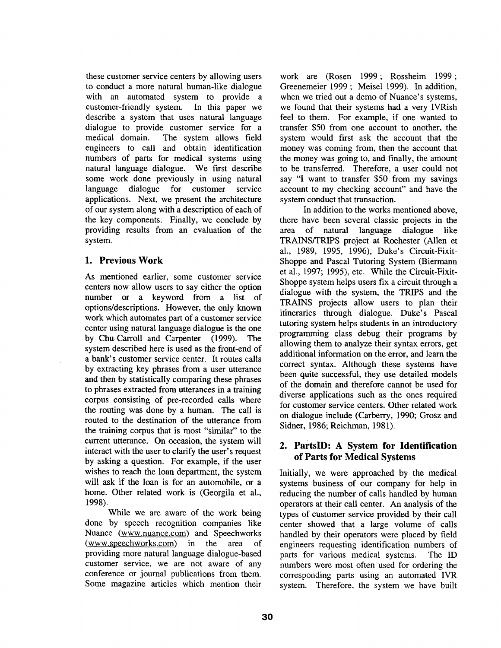these customer service centers by allowing users to conduct a more natural human-like dialogue with an automated system to provide a customer-friendly system. In this paper we describe a system that uses natural language dialogue to provide customer service for a medical domain. The system allows field engineers to call and obtain identification numbers of parts for medical systems using natural language dialogue. We first describe some work done previously in using natural language dialogue for customer service applications. Next, we present the architecture of our system along with a description of each of the key components. Finally, we conclude by providing results from an evaluation of the system.

### **1. Previous Work**

As mentioned earlier, some customer service centers now allow users to say either the option number or a keyword from a list of options/descriptions. However, the only known work which automates part of a customer service center using natural language dialogue is the one by Chu-Carroll and Carpenter (1999). The system described here is used as the front-end of a bank's customer service center. It routes calls by extracting key phrases from a user utterance and then by statistically comparing these phrases to phrases extracted from utterances in a training corpus consisting of pre-recorded calls where the routing was done by a human. The call is routed to the destination of the utterance from the training corpus that is most "similar" to the current utterance. On occasion, the system will interact with the user to clarify the user's request by asking a question. For example, if the user wishes to reach the loan department, the system will ask if the loan is for an automobile, or a home. Other related work is (Georgila et al., 1998).

While we are aware of the work being done by speech recognition companies like Nuance (www.nuance.com) and Speechworks (www.speechworks.com) in the area of providing more natural language dialogue-based customer service, we are not aware of any conference or journal publications from them. Some magazine articles which mention their

work are (Rosen 1999; Rossheim 1999; Greenemeier 1999 ; Meisel 1999). In addition, when we tried out a demo of Nuance's systems, we found that their systems had a very IVRish feel to them. For example, if one wanted to transfer \$50 from one account to another, the system would first ask the account that the money was coming from, then the account that the money was going to, and finally, the amount to be transferred. Therefore, a user could not say "I want to transfer \$50 from my savings account to my checking account" and have the system conduct that transaction.

In addition to the works mentioned above, there have been several classic projects in the area of natural language dialogue like TRAINS/TRIPS project at Rochester (Allen et al., 1989, 1995, 1996), Duke's Circuit-Fixit-Shoppe and Pascal Tutoring System (Biermann et al., 1997; 1995), etc. While the Circuit-Fixit-Shoppe system helps users fix a circuit through a dialogue with the system, the TRIPS and the TRAINS projects allow users to plan their itineraries through dialogue. Duke's Pascal tutoring system helps students in an introductory programming class debug their programs by allowing them to analyze their syntax errors, get additional information on the error, and learn the correct syntax. Although these systems have been quite successful, they use detailed models of the domain and therefore cannot be used for diverse applications such as the ones required for customer service centers. Other related work on dialogue include (Carberry, 1990; Grosz and Sidner, 1986; Reichman, 1981).

### **2. PartslD: A System for Identification of Parts for Medical Systems**

Initially, we were approached by the medical systems business of our company for help in reducing the number of calls handled by human operators at their call center. An analysis of the types of customer service provided by their call center showed that a large volume of calls handled by their operators were placed by field engineers requesting identification numbers of parts for various medical systems. The ID numbers were most often used for ordering the corresponding parts using an automated IVR system. Therefore, the system we have built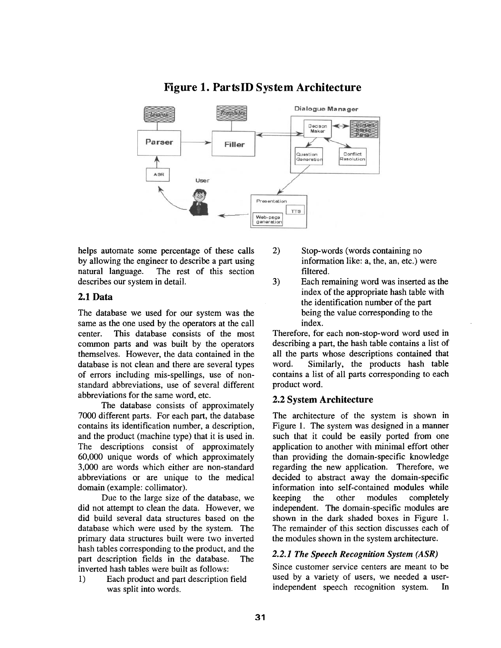

## **Figure 1. PartslD System Architecture**

helps automate some percentage of these calls by allowing the engineer to describe a part using natural language. The rest of this section describes our system in detail.

### 2.1 Data

The database we used for our system was the same as the one used by the operators at the call center. This database consists of the most common parts and was built by the operators themselves. However, the data contained in the database is not clean and there are several types of errors including mis-spellings, use of nonstandard abbreviations, use of several different abbreviations for the same word, etc.

The database consists of approximately 7000 different parts. For each part, the database contains its identification number, a description, and the product (machine type) that it is used in. The descriptions consist of approximately 60,000 unique words of which approximately 3,000 are words which either are non-standard abbreviations or are unique to the medical domain (example: collimator).

Due to the large size of the database, we did not attempt to clean the data. However, we did build several data structures based on the database which were used by the system. The primary data structures built were two inverted hash tables corresponding to the product, and the part description fields in the database. The inverted hash tables were built as follows:

1) Each product and part description field was split into words.

- 2) Stop-words (words containing no information like: a, the, an, etc.) were filtered.
- 3) Each remaining word was inserted as the index of the appropriate hash table with the identification number of the part being the value corresponding to the index.

Therefore, for each non-stop-word word used in describing a part, the hash table contains a list of all the parts whose descriptions contained that word. Similarly, the products hash table contains a list of all parts corresponding to each product word.

### 2.2 System **Architecture**

The architecture of the system is shown in Figure 1. The system was designed in a manner such that it could be easily ported from one application to another with minimal effort other than providing the domain-specific knowledge regarding the new application. Therefore, we decided to abstract away the domain-specific information into self-contained modules while keeping the other modules completely independent. The domain-specific modules are shown in the dark shaded boxes in Figure I. The remainder of this section discusses each of the modules shown in the system architecture.

### *2.2.1 The Speech Recognition System (ASR)*

Since customer service centers are meant to be used by a variety of users, we needed a userindependent speech recognition system. In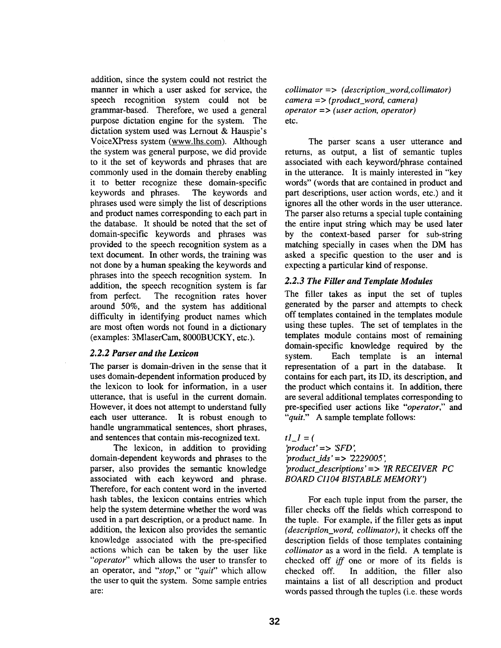addition, since the system could not restrict the manner in which a user asked for service, the speech recognition system could not be grammar-based. Therefore, we used a general purpose dictation engine for the system. The dictation system used was Lernout & Hauspie's VoiceXPress system (www.lhs.com). Although the system was general purpose, we did provide to it the set of keywords and phrases that are commonly used in the domain thereby enabling it to better recognize these domain-specific keywords and phrases. The keywords and phrases used were simply the list of descriptions and product names corresponding to each part in the database. It should be noted that the set of domain-specific keywords and phrases was provided to the speech recognition system as a text document. In other words, the training was not done by a human speaking the keywords and phrases into the speech recognition system. In addition, the speech recognition system is far from perfect. The recognition rates hover around 50%, and the system has additional difficulty in identifying product names which are most often words not found in a dictionary (examples: 3MlaserCam, 8000BUCKY, etc.).

#### *2.2.2 Parser and the Lexicon*

The parser is domain-driven in the sense that it uses domain-dependent information produced by the lexicon to look for information, in a user utterance, that is useful in the current domain. However, it does not attempt to understand fully each user utterance. It is robust enough to handle ungrammatical sentences, short phrases, and sentences that contain mis-recognized text.

The lexicon, in addition to providing domain-dependent keywords and phrases to the parser, also provides the semantic knowledge associated with each keyword and phrase. Therefore, for each content word in the inverted hash tables, the lexicon contains entries which help the system determine whether the word was used in a part description, or a product name. In addition, the lexicon also provides the semantic knowledge associated with the pre-specified actions which can be taken by the user like *"operator"* which allows the user to transfer to an operator, and *"stop,"* or *"quit"* which allow the user to quit the system. Some sample entries are:

*collimator* => *(description\_word, collimator) camera* => *(product\_word, camera) operator* => *(user action, operator)*  etc.

The parser scans a user utterance and returns, as output, a list of semantic tuples associated with each keyword/phrase contained in the utterance. It is mainly interested in "key words" (words that are contained in product and part descriptions, user action words, etc.) and it ignores all the other words in the user utterance. The parser also returns a special tuple containing the entire input string which may be used later by the context-based parser for sub-string matching specially in cases when the DM has asked a specific question to the user and is expecting a particular kind of response.

#### *2.2.3 The Filler and Template Modules*

The filler takes as input the set of tuples generated by the parser and attempts to check off templates contained in the templates module using these tuples, The set of templates in the templates module contains most of remaining domain-specific knowledge required by the system. Each template is an internal representation of a part in the database. It contains for each part, its ID, its description, and the product which contains it. In addition, there are several additional templates corresponding to pre-specified user actions like *"operator,"* and *"quit."* A sample template follows:

 $tI_1 = ($ *'product' = > 'SFD', 'product\_\_ids' = > 2229005" 'product\_descriptions'* => *'IR RECEIVER PC BOARD CI104 BISTABLE MEMORY')* 

For each tuple input from the parser, the filler checks off the fields which correspond to the tuple. For example, if the filler gets as input *(description\_word, collimator),* it checks off the description fields of those templates containing *collimator* as a word in the field. A template is checked off *iff* one or more of its fields is checked off. In addition, the filler also maintains a list of all description and product words passed through the tuples (i.e. these words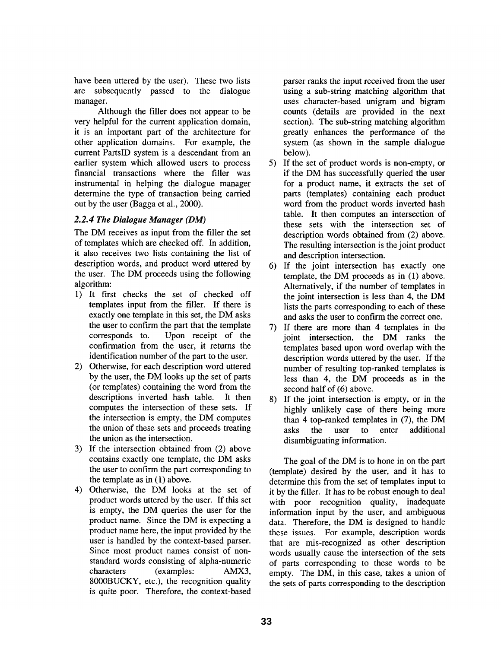have been uttered by the user). These two lists are subsequently passed to the dialogue manager.

Although the filler does not appear to be very helpful for the current application domain, it is an important part of the architecture for other application domains. For example, the current PartslD system is a descendant from an earlier system which allowed users to process financial transactions where the filler was instrumental in helping the dialogue manager determine the type of transaction being carried out by the user (Bagga et al., 2000).

### *2.2.4 The Dialogue Manager (DM)*

The DM receives as input from the filler the set of templates which are checked off. In addition, it also receives two lists containing the list of description words, and product word uttered by the user. The DM proceeds using the following algorithm:

- 1) It first checks the set of checked off templates input from the filler. If there is exactly one template in this set, the DM asks the user to confirm the part that the template corresponds to. Upon receipt of the confirmation from the user, it returns the identification number of the part to the user.
- 2) Otherwise, for each description word uttered by the user, the DM looks up the set of parts (or templates) containing the word from the descriptions inverted hash table. It then computes the intersection of these sets. If the intersection is empty, the DM computes the union of these sets and proceeds treating the union as the intersection.
- 3) If the intersection obtained from (2) above contains exactly one template, the DM asks the user to confirm the part corresponding to the template as in (1) above.
- 4) Otherwise, the DM looks at the set of product words uttered by the user. If this set is empty, the DM queries the user for the product name. Since the DM is expecting a product name here, the input provided by the user is handled by the context-based parser. Since most product names consist of nonstandard words consisting of alpha-numeric characters (examples: AMX3, 8000BUCKY, etc.), the recognition quality is quite poor. Therefore, the context-based

parser ranks the input received from the user using a sub-string matching algorithm that uses character-based unigram and bigram counts (details are provided in the next section). The sub-string matching algorithm greatly enhances the performance of the system (as shown in the sample dialogue below).

- 5) If the set of product words is non-empty, or if the DM has successfully queried the user for a product name, it extracts the set of parts (templates) containing each product word from the product words inverted hash table. It then computes an intersection of these sets with the intersection set of description words obtained from (2) above. The resulting intersection is the joint product and description intersection.
- 6) If the joint intersection has exactly one template, the DM proceeds as in (1) above. Alternatively, if the number of templates in the joint intersection is less than 4, the DM lists the parts corresponding to each of these and asks the user to confirm the correct one.
- 7) If there are more than 4 templates in the joint intersection, the DM ranks the templates based upon word overlap with the description words uttered by the user. If the number of resulting top-ranked templates is less than 4, the DM proceeds as in the second half of (6) above.
- 8) If the joint intersection is empty, or in the highly unlikely case of there being more than 4 top-ranked templates in (7), the DM asks the user to enter additional disambiguating information.

The goal of the DM is to hone in on the part (template) desired by the user, and it has to determine this from the set of templates input to it by the filler. It has to be robust enough to deal with poor recognition quality, inadequate information input by the user, and ambiguous data. Therefore, the DM is designed to handle these issues. For example, description words that are mis-recognized as other description words usually cause the intersection of the sets of parts corresponding to these words to be empty. The DM, in this case, takes a union of the sets of parts corresponding to the description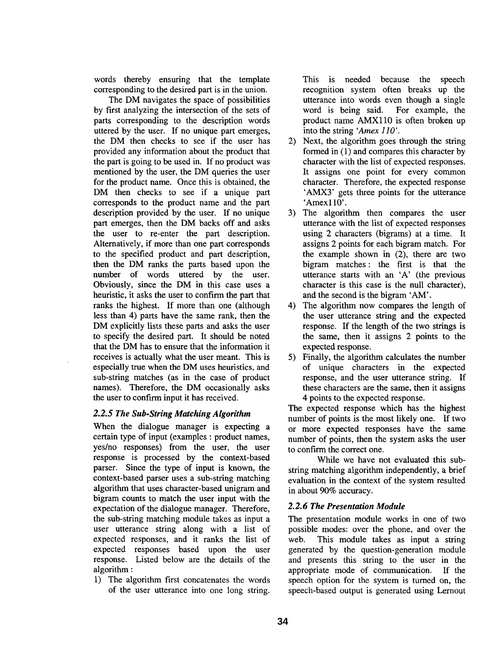words thereby ensuring that the template corresponding to the desired part is in the union.

The DM navigates the space of possibilities by first analyzing the intersection of the sets of parts corresponding to the description words uttered by the user. If no unique part emerges, the DM then checks to see if the user has provided any information about the product that the part is going to be used in. If no product was mentioned by the user, the DM queries the user for the product name. Once this is obtained, the DM then checks to see if a unique part corresponds to the product name and the part description provided by the user. If no unique part emerges, then the DM backs off and asks the user to re-enter the part description. Alternatively, if more than one part corresponds to the specified product and part description, then the DM ranks the parts based upon the number of words uttered by the user. Obviously, since the DM in this case uses a heuristic, it asks the user to confirm the part that ranks the highest. If more than one (although less than 4) parts have the same rank, then the DM explicitly lists these parts and asks the user to specify the desired part. It should be noted that the DM has to ensure that the information it receives is actually what the user meant. This is especially true when the DM uses heuristics, and sub-string matches (as in the case of product names). Therefore, the DM occasionally asks the user to confirm input it has received.

#### *2.2.5 The Sub-String Matching Algorithm*

When the dialogue manager is expecting a certain type of input (examples : product names, yes/no responses) from the user, the user response is processed by the context-based parser. Since the type of input is known, the context-based parser uses a sub-string matching algorithm that uses character-based unigram and bigram counts to match the user input with the expectation of the dialogue manager. Therefore, the sub-string matching module takes as input a user utterance string along with a list of expected responses, and it ranks the list of expected responses based upon the user response. Listed below are the details of the algorithm :

1) The algorithm first concatenates the words of the user utterance into one long string.

This is needed because the speech recognition system often breaks up the utterance into words even though a single word is being said. For example, the product name AMXll0 is often broken up into the string *'Amex 110'.* 

- 2) Next, the algorithm goes through the string formed in (1) and compares this character by character with the list of expected responses. It assigns one point for every common character. Therefore, the expected response 'AMX3' gets three points for the utterance 'Amex110'.
- 3) The algorithm then compares the user utterance with the list of expected responses using 2 characters (bigrams) at a time. It assigns 2 points for each bigram match. For the example shown in (2), there are two bigram matches: the first is that the utterance starts with an 'A' (the previous character is this case is the null character), and the second is the bigram 'AM'.
- 4) The algorithm now compares the length of the user utterance string and the expected response. If the length of the two strings is the same, then it assigns 2 points to the expected response.
- 5) Finally, the algorithm calculates the number of unique characters in the expected response, and the user utterance string. If these characters are the same, then it assigns 4 points to the expected response.

The expected response which has the highest number of points is the most likely one. If two or more expected responses have the same number of points, then the system asks the user to confirm the correct one.

While we have not evaluated this substring matching algorithm independently, a brief evaluation in the context of the system resulted in about 90% accuracy.

#### *2.2.6 The Presentation Module*

The presentation module works in one of two possible modes: over the phone, and over the web. This module takes as input a string generated by the question-generation module and presents this string to the user in the appropriate mode of communication. If the speech option for the system is turned on, the speech-based output is generated using Lernout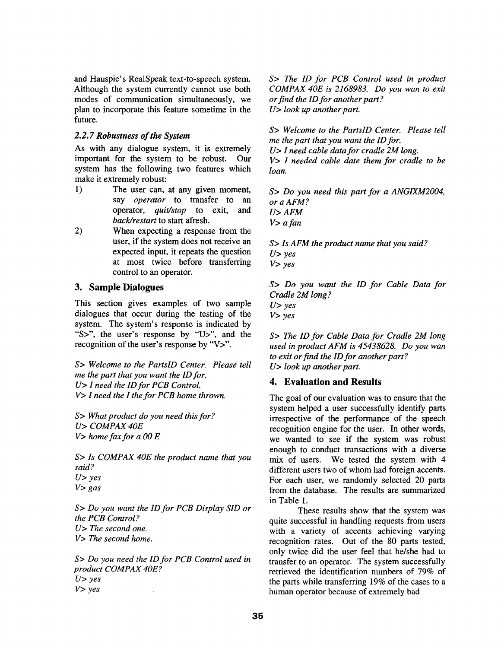and Hauspie's RealSpeak text-to-speech system. Although the system currently cannot use both modes of communication simultaneously, we plan to incorporate this feature sometime in the future.

### *2.2. 7 Robustness of the System*

As with any dialogue system, it is extremely important for the system to be robust. Our system has the following two features which make it extremely robust:

- 1) The user can, at any given moment, say *operator* to transfer to an operator, *quit/stop* to exit, and *back~restart* to start afresh.
- 2) When expecting a response from the user, if the system does not receive an expected input, it repeats the question at most twice before transferring control to an operator.

### **3. Sample Dialogues**

This section gives examples of two sample dialogues that occur during the testing of the system. The system's response is indicated by "S>", the user's response by "U>", and the recognition of the user's response by "V>".

*S> Welcome to the PartslD Center. Please tell me the part that you want the ID for. U> I need the ID for PCB Control. V> I need the I the for PCB home thrown.* 

*S> What product do you need this for? U> COMPAX 40E V> home fax for a O0 E* 

*S> Is COMPAX 40E the product name that you said? U> yes V> gas* 

*S> Do you want the ID for PCB Display SID or the PCB Control? U> The second one. V> The second home.* 

*S> Do you need the ID for PCB Control used in product COMPAX 40E? U> yes V> yes* 

*S> The ID for PCB Control used in product COMPAX 40E is 2168983. Do you wan to exit or find the ID for another part ? U> look up another part.* 

*S> Welcome to the PartslD Center. Please tell me the part that you want the ID for. U> I need cable data for cradle 2M long.* 

*V> I needed cable date them for cradle to be loan.* 

*S> Do you need this part for a ANGIXM2004, or a AFM ? U> AFM V> a fan* 

*S> Is AFM the product name that you said? U> yes V> yes* 

*S> Do you want the ID for Cable Data for Cradle 2M long ? U> yes V> yes* 

*S> The ID for Cable Data for Cradle 2M long used in product AFM is 45438628. Do you wan to exit or find the ID for another part? U> look up another part.* 

### **4. Evaluation and Results**

The goal of our evaluation was to ensure that the system helped a user successfully identify parts irrespective of the performance of the speech recognition engine for the user. In other words, we wanted to see if the system was robust enough to conduct transactions with a diverse mix of users. We tested the system with 4 different users two of whom had foreign accents. For each user, we randomly selected 20 parts from the database. The results are summarized in Table 1.

These results show that the system was quite successful in handling requests from users with a variety of accents achieving varying recognition rates. Out of the 80 parts tested, only twice did the user feel that he/she had to transfer to an operator. The system successfully retrieved the identification numbers of 79% of the parts while transferring 19% of the cases to a human operator because of extremely bad